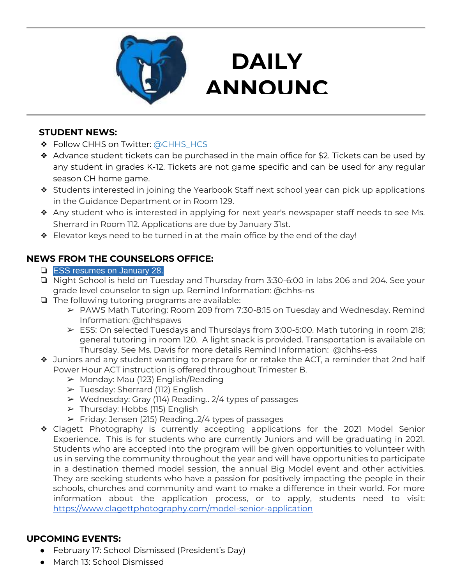

# **DAILY ANNOUNC**

**EMENTS** 

#### **STUDENT NEWS:**

- ❖ Follow CHHS on Twitter: [@CHHS\\_HCS](https://twitter.com/CHHS_HCS)
- ❖ Advance student tickets can be purchased in the main office for \$2. Tickets can be used by any student in grades K-12. Tickets are not game specific and can be used for any regular season CH home game.
- ❖ Students interested in joining the Yearbook Staff next school year can pick up applications in the Guidance Department or in Room 129.
- ❖ Any student who is interested in applying for next year's newspaper staff needs to see Ms. Sherrard in Room 112. Applications are due by January 31st.
- ❖ Elevator keys need to be turned in at the main office by the end of the day!

# **NEWS FROM THE COUNSELORS OFFICE:**

- ❏ ESS resumes on January 28.
- ❏ Night School is held on Tuesday and Thursday from 3:30-6:00 in labs 206 and 204. See your grade level counselor to sign up. Remind Information: @chhs-ns
- ❏ The following tutoring programs are available:
	- ➢ PAWS Math Tutoring: Room 209 from 7:30-8:15 on Tuesday and Wednesday. Remind Information: @chhspaws
	- $\triangleright$  ESS: On selected Tuesdays and Thursdays from 3:00-5:00. Math tutoring in room 218; general tutoring in room 120. A light snack is provided. Transportation is available on Thursday. See Ms. Davis for more details Remind Information: @chhs-ess
- ❖ Juniors and any student wanting to prepare for or retake the ACT, a reminder that 2nd half Power Hour ACT instruction is offered throughout Trimester B.
	- $\triangleright$  Monday: Mau (123) English/Reading
	- ➢ Tuesday: Sherrard (112) English
	- ➢ Wednesday: Gray (114) Reading.. 2/4 types of passages
	- $\triangleright$  Thursday: Hobbs (115) English
	- $\triangleright$  Friday: Jensen (215) Reading. 2/4 types of passages
- ❖ Clagett Photography is currently accepting applications for the 2021 Model Senior Experience. This is for students who are currently Juniors and will be graduating in 2021. Students who are accepted into the program will be given opportunities to volunteer with us in serving the community throughout the year and will have opportunities to participate in a destination themed model session, the annual Big Model event and other activities. They are seeking students who have a passion for positively impacting the people in their schools, churches and community and want to make a difference in their world. For more information about the application process, or to apply, students need to visit: <https://www.clagettphotography.com/model-senior-application>

# **UPCOMING EVENTS:**

- February 17: School Dismissed (President's Day)
- March 13: School Dismissed